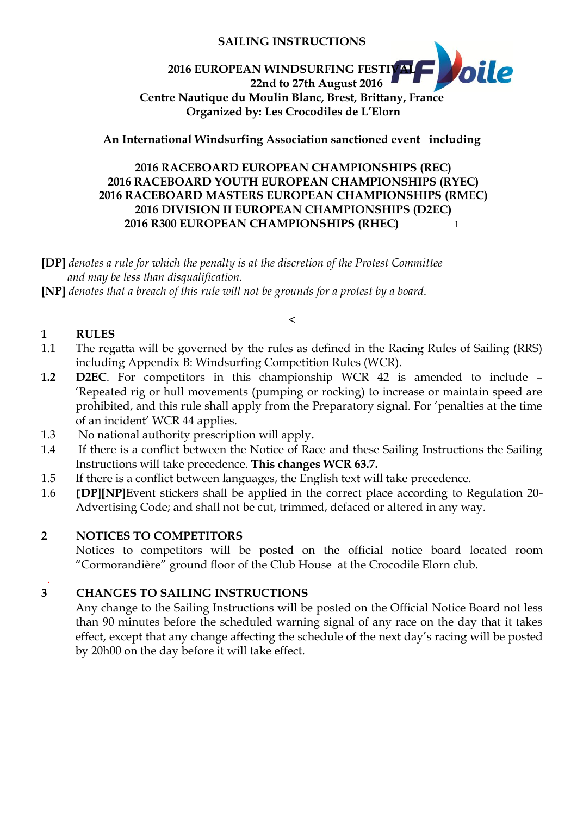## **SAILING INSTRUCTIONS**

#### *oile* **2016 EUROPEAN WINDSURFING FESTIVAL 22nd to 27th August 2016 Centre Nautique du Moulin Blanc, Brest, Brittany, France Organized by: Les Crocodiles de L'Elorn**

# **An International Windsurfing Association sanctioned event including**

# **2016 RACEBOARD EUROPEAN CHAMPIONSHIPS (REC) 2016 RACEBOARD YOUTH EUROPEAN CHAMPIONSHIPS (RYEC) 2016 RACEBOARD MASTERS EUROPEAN CHAMPIONSHIPS (RMEC) 2016 DIVISION II EUROPEAN CHAMPIONSHIPS (D2EC) 2016 R300 EUROPEAN CHAMPIONSHIPS (RHEC)** 1

**[DP]** *denotes a rule for which the penalty is at the discretion of the Protest Committee and may be less than disqualification.*

**[NP]** *denotes that a breach of this rule will not be grounds for a protest by a board*.

## **1 RULES**

1.1 The regatta will be governed by the rules as defined in the Racing Rules of Sailing (RRS) including Appendix B: Windsurfing Competition Rules (WCR).

 $\,<\,$ 

- **1.2 D2EC**. For competitors in this championship WCR 42 is amended to include 'Repeated rig or hull movements (pumping or rocking) to increase or maintain speed are prohibited, and this rule shall apply from the Preparatory signal. For 'penalties at the time of an incident' WCR 44 applies.
- 1.3 No national authority prescription will apply**.**
- 1.4 If there is a conflict between the Notice of Race and these Sailing Instructions the Sailing Instructions will take precedence. **This changes WCR 63.7.**
- 1.5 If there is a conflict between languages, the English text will take precedence.
- 1.6 **[DP][NP]**Event stickers shall be applied in the correct place according to Regulation 20- Advertising Code; and shall not be cut, trimmed, defaced or altered in any way.

### **2 NOTICES TO COMPETITORS**

Notices to competitors will be posted on the official notice board located room "Cormorandière" ground floor of the Club House at the Crocodile Elorn club.

#### . **3 CHANGES TO SAILING INSTRUCTIONS**

Any change to the Sailing Instructions will be posted on the Official Notice Board not less than 90 minutes before the scheduled warning signal of any race on the day that it takes effect, except that any change affecting the schedule of the next day's racing will be posted by 20h00 on the day before it will take effect.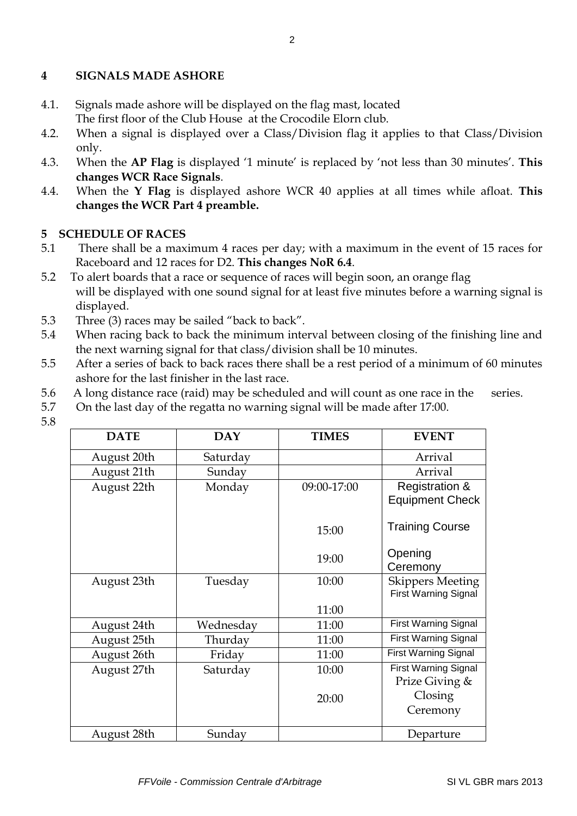## **4 SIGNALS MADE ASHORE**

- 4.1. Signals made ashore will be displayed on the flag mast, located The first floor of the Club House at the Crocodile Elorn club.
- 4.2. When a signal is displayed over a Class/Division flag it applies to that Class/Division only.
- 4.3. When the **AP Flag** is displayed '1 minute' is replaced by 'not less than 30 minutes'. **This changes WCR Race Signals**.
- 4.4. When the **Y Flag** is displayed ashore WCR 40 applies at all times while afloat. **This changes the WCR Part 4 preamble.**

# **5 SCHEDULE OF RACES**

- 5.1 There shall be a maximum 4 races per day; with a maximum in the event of 15 races for Raceboard and 12 races for D2. **This changes NoR 6.4**.
- 5.2 To alert boards that a race or sequence of races will begin soon, an orange flag will be displayed with one sound signal for at least five minutes before a warning signal is displayed.
- 5.3 Three (3) races may be sailed "back to back".
- 5.4 When racing back to back the minimum interval between closing of the finishing line and the next warning signal for that class/division shall be 10 minutes.
- 5.5 After a series of back to back races there shall be a rest period of a minimum of 60 minutes ashore for the last finisher in the last race.
- 5.6 A long distance race (raid) may be scheduled and will count as one race in the series.
- 5.7 On the last day of the regatta no warning signal will be made after 17:00.

| ۰  |    |
|----|----|
|    | c. |
|    | ×  |
| ۰. | ٦  |
| ۰. |    |
|    | ٠  |
| -  |    |
|    |    |
|    |    |

| <b>DATE</b> | <b>DAY</b> | <b>TIMES</b> | <b>EVENT</b>                                           |
|-------------|------------|--------------|--------------------------------------------------------|
| August 20th | Saturday   |              | Arrival                                                |
| August 21th | Sunday     |              | Arrival                                                |
| August 22th | Monday     | 09:00-17:00  | <b>Registration &amp;</b><br><b>Equipment Check</b>    |
|             |            | 15:00        | <b>Training Course</b>                                 |
|             |            | 19:00        | Opening<br>Ceremony                                    |
| August 23th | Tuesday    | 10:00        | <b>Skippers Meeting</b><br><b>First Warning Signal</b> |
|             |            | 11:00        |                                                        |
| August 24th | Wednesday  | 11:00        | <b>First Warning Signal</b>                            |
| August 25th | Thurday    | 11:00        | <b>First Warning Signal</b>                            |
| August 26th | Friday     | 11:00        | <b>First Warning Signal</b>                            |
| August 27th | Saturday   | 10:00        | <b>First Warning Signal</b><br>Prize Giving &          |
|             |            | 20:00        | Closing                                                |
|             |            |              | Ceremony                                               |
| August 28th | Sunday     |              | Departure                                              |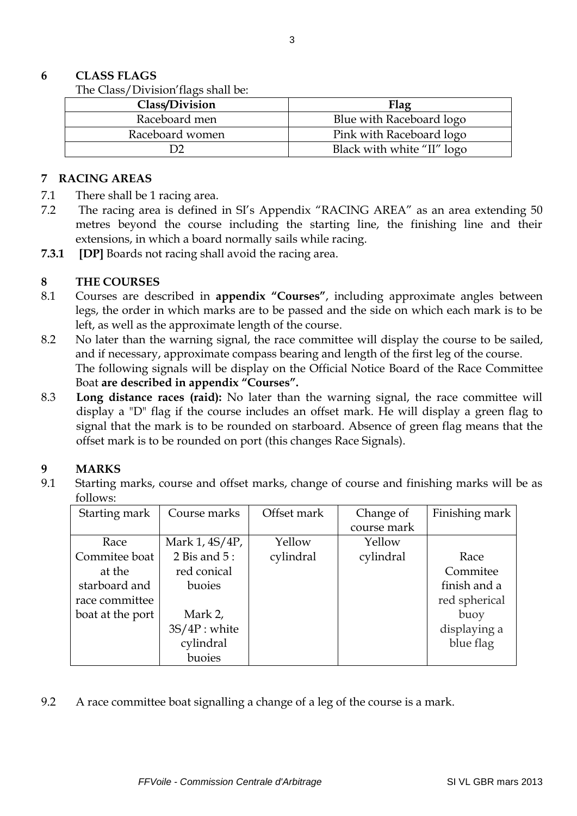### **6 CLASS FLAGS**

The Class/Division'flags shall be:

| Class/Division  | Flag                       |
|-----------------|----------------------------|
| Raceboard men   | Blue with Raceboard logo   |
| Raceboard women | Pink with Raceboard logo   |
|                 | Black with white "II" logo |

#### **7 RACING AREAS**

- 7.1 There shall be 1 racing area.
- 7.2 The racing area is defined in SI's Appendix "RACING AREA" as an area extending 50 metres beyond the course including the starting line, the finishing line and their extensions, in which a board normally sails while racing.
- **7.3.1 [DP]** Boards not racing shall avoid the racing area.

### **8 THE COURSES**

- 8.1 Courses are described in **appendix "Courses"**, including approximate angles between legs, the order in which marks are to be passed and the side on which each mark is to be left, as well as the approximate length of the course.
- 8.2 No later than the warning signal, the race committee will display the course to be sailed, and if necessary, approximate compass bearing and length of the first leg of the course. The following signals will be display on the Official Notice Board of the Race Committee Boat **are described in appendix "Courses".**
- 8.3 **Long distance races (raid):** No later than the warning signal, the race committee will display a "D" flag if the course includes an offset mark. He will display a green flag to signal that the mark is to be rounded on starboard. Absence of green flag means that the offset mark is to be rounded on port (this changes Race Signals).

### **9 MARKS**

9.1 Starting marks, course and offset marks, change of course and finishing marks will be as follows:

| Starting mark    | Course marks    | Offset mark | Change of   | Finishing mark |
|------------------|-----------------|-------------|-------------|----------------|
|                  |                 |             | course mark |                |
| Race             | Mark 1, 4S/4P,  | Yellow      | Yellow      |                |
| Commitee boat    | 2 Bis and $5:$  | cylindral   | cylindral   | Race           |
| at the           | red conical     |             |             | Commitee       |
| starboard and    | buoies          |             |             | finish and a   |
| race committee   |                 |             |             | red spherical  |
| boat at the port | Mark 2,         |             |             | buoy           |
|                  | $3S/4P$ : white |             |             | displaying a   |
|                  | cylindral       |             |             | blue flag      |
|                  | buoies          |             |             |                |

9.2 A race committee boat signalling a change of a leg of the course is a mark.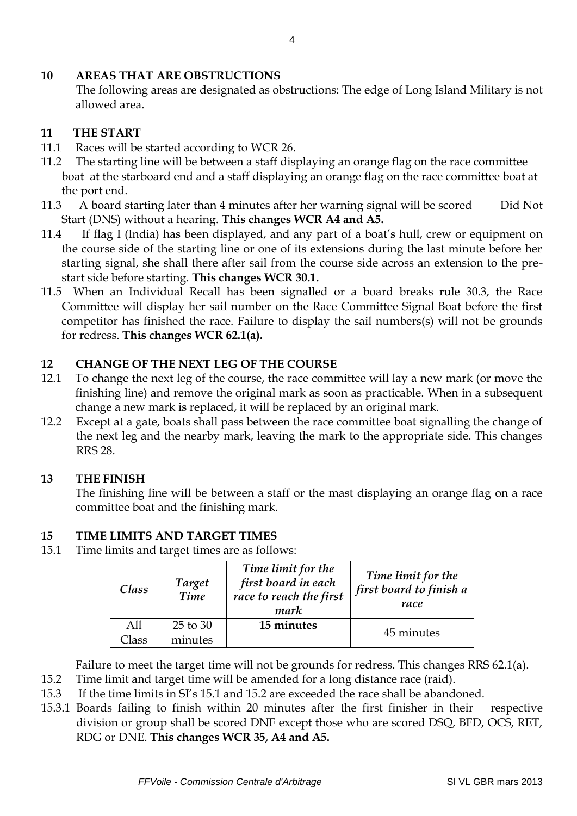### **10 AREAS THAT ARE OBSTRUCTIONS**

The following areas are designated as obstructions: The edge of Long Island Military is not allowed area.

# **11 THE START**

- 11.1 Races will be started according to WCR 26.
- 11.2 The starting line will be between a staff displaying an orange flag on the race committee boat at the starboard end and a staff displaying an orange flag on the race committee boat at the port end.
- 11.3 A board starting later than 4 minutes after her warning signal will be scored Did Not Start (DNS) without a hearing. **This changes WCR A4 and A5.**
- 11.4 If flag I (India) has been displayed, and any part of a boat's hull, crew or equipment on the course side of the starting line or one of its extensions during the last minute before her starting signal, she shall there after sail from the course side across an extension to the prestart side before starting. **This changes WCR 30.1.**
- 11.5 When an Individual Recall has been signalled or a board breaks rule 30.3, the Race Committee will display her sail number on the Race Committee Signal Boat before the first competitor has finished the race. Failure to display the sail numbers(s) will not be grounds for redress. **This changes WCR 62.1(a).**

# **12 CHANGE OF THE NEXT LEG OF THE COURSE**

- 12.1 To change the next leg of the course, the race committee will lay a new mark (or move the finishing line) and remove the original mark as soon as practicable. When in a subsequent change a new mark is replaced, it will be replaced by an original mark.
- 12.2 Except at a gate, boats shall pass between the race committee boat signalling the change of the next leg and the nearby mark, leaving the mark to the appropriate side. This changes RRS 28.

# **13 THE FINISH**

The finishing line will be between a staff or the mast displaying an orange flag on a race committee boat and the finishing mark.

# **15 TIME LIMITS AND TARGET TIMES**

15.1 Time limits and target times are as follows:

| Class  | <b>Target</b><br>Time | Time limit for the<br>first board in each<br>race to reach the first<br>mark | Time limit for the<br>first board to finish a<br>race |
|--------|-----------------------|------------------------------------------------------------------------------|-------------------------------------------------------|
| A11    | 25 to 30              | 15 minutes                                                                   |                                                       |
| Llass. | minutes               |                                                                              | 45 minutes                                            |

Failure to meet the target time will not be grounds for redress. This changes RRS 62.1(a).

- 15.2 Time limit and target time will be amended for a long distance race (raid).
- 15.3 If the time limits in SI's 15.1 and 15.2 are exceeded the race shall be abandoned.
- 15.3.1 Boards failing to finish within 20 minutes after the first finisher in their respective division or group shall be scored DNF except those who are scored DSQ, BFD, OCS, RET, RDG or DNE. **This changes WCR 35, A4 and A5.**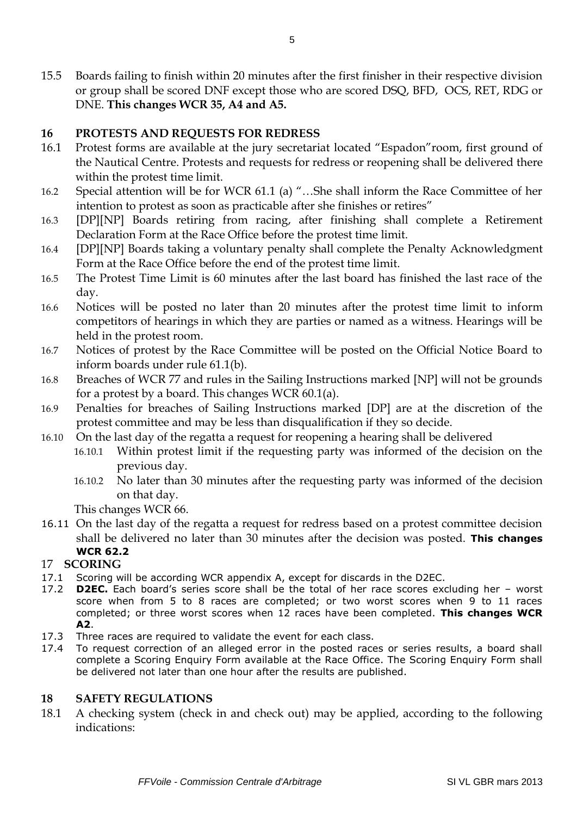15.5 Boards failing to finish within 20 minutes after the first finisher in their respective division or group shall be scored DNF except those who are scored DSQ, BFD, OCS, RET, RDG or DNE. **This changes WCR 35, A4 and A5.**

#### **16 PROTESTS AND REQUESTS FOR REDRESS**

- 16.1 Protest forms are available at the jury secretariat located "Espadon"room, first ground of the Nautical Centre. Protests and requests for redress or reopening shall be delivered there within the protest time limit.
- 16.2 Special attention will be for WCR 61.1 (a) "…She shall inform the Race Committee of her intention to protest as soon as practicable after she finishes or retires"
- 16.3 [DP][NP] Boards retiring from racing, after finishing shall complete a Retirement Declaration Form at the Race Office before the protest time limit.
- 16.4 [DP][NP] Boards taking a voluntary penalty shall complete the Penalty Acknowledgment Form at the Race Office before the end of the protest time limit.
- 16.5 The Protest Time Limit is 60 minutes after the last board has finished the last race of the day.
- 16.6 Notices will be posted no later than 20 minutes after the protest time limit to inform competitors of hearings in which they are parties or named as a witness. Hearings will be held in the protest room.
- 16.7 Notices of protest by the Race Committee will be posted on the Official Notice Board to inform boards under rule 61.1(b).
- 16.8 Breaches of WCR 77 and rules in the Sailing Instructions marked [NP] will not be grounds for a protest by a board. This changes WCR 60.1(a).
- 16.9 Penalties for breaches of Sailing Instructions marked [DP] are at the discretion of the protest committee and may be less than disqualification if they so decide.
- 16.10 On the last day of the regatta a request for reopening a hearing shall be delivered
	- 16.10.1 Within protest limit if the requesting party was informed of the decision on the previous day.
		- 16.10.2 No later than 30 minutes after the requesting party was informed of the decision on that day.

This changes WCR 66.

16.11 On the last day of the regatta a request for redress based on a protest committee decision shall be delivered no later than 30 minutes after the decision was posted. **This changes WCR 62.2**

### 17 **SCORING**

- 17.1 Scoring will be according WCR appendix A, except for discards in the D2EC.
- 17.2 **D2EC.** Each board's series score shall be the total of her race scores excluding her worst score when from 5 to 8 races are completed; or two worst scores when 9 to 11 races completed; or three worst scores when 12 races have been completed. **This changes WCR A2**.
- 17.3 Three races are required to validate the event for each class.
- 17.4 To request correction of an alleged error in the posted races or series results, a board shall complete a Scoring Enquiry Form available at the Race Office. The Scoring Enquiry Form shall be delivered not later than one hour after the results are published.

#### **18 SAFETY REGULATIONS**

18.1 A checking system (check in and check out) may be applied, according to the following indications: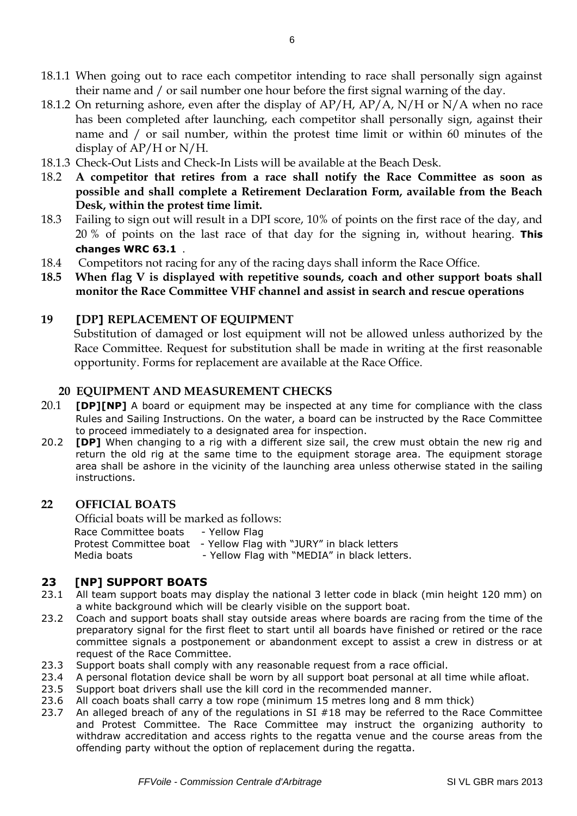- 18.1.1 When going out to race each competitor intending to race shall personally sign against their name and / or sail number one hour before the first signal warning of the day.
- 18.1.2 On returning ashore, even after the display of  $AP/H$ ,  $AP/A$ ,  $N/H$  or  $N/A$  when no race has been completed after launching, each competitor shall personally sign, against their name and / or sail number, within the protest time limit or within 60 minutes of the display of AP/H or N/H.
- 18.1.3 Check-Out Lists and Check-In Lists will be available at the Beach Desk.
- 18.2 **A competitor that retires from a race shall notify the Race Committee as soon as possible and shall complete a Retirement Declaration Form, available from the Beach Desk, within the protest time limit.**
- 18.3 Failing to sign out will result in a DPI score, 10% of points on the first race of the day, and 20 % of points on the last race of that day for the signing in, without hearing. **This changes WRC 63.1** .
- 18.4 Competitors not racing for any of the racing days shall inform the Race Office.
- **18.5 When flag V is displayed with repetitive sounds, coach and other support boats shall monitor the Race Committee VHF channel and assist in search and rescue operations**

### **19 [DP] REPLACEMENT OF EQUIPMENT**

Substitution of damaged or lost equipment will not be allowed unless authorized by the Race Committee. Request for substitution shall be made in writing at the first reasonable opportunity. Forms for replacement are available at the Race Office.

### **20 EQUIPMENT AND MEASUREMENT CHECKS**

- 20.1 **[DP][NP]** A board or equipment may be inspected at any time for compliance with the class Rules and Sailing Instructions. On the water, a board can be instructed by the Race Committee to proceed immediately to a designated area for inspection.
- 20.2 **[DP]** When changing to a rig with a different size sail, the crew must obtain the new rig and return the old rig at the same time to the equipment storage area. The equipment storage area shall be ashore in the vicinity of the launching area unless otherwise stated in the sailing instructions.

#### **22 OFFICIAL BOATS**

Official boats will be marked as follows: Race Committee boats - Yellow Flag Protest Committee boat - Yellow Flag with "JURY" in black letters Media boats - Yellow Flag with "MEDIA" in black letters.

### **23 [NP] SUPPORT BOATS**

- 23.1 All team support boats may display the national 3 letter code in black (min height 120 mm) on a white background which will be clearly visible on the support boat.
- 23.2 Coach and support boats shall stay outside areas where boards are racing from the time of the preparatory signal for the first fleet to start until all boards have finished or retired or the race committee signals a postponement or abandonment except to assist a crew in distress or at request of the Race Committee.
- 23.3 Support boats shall comply with any reasonable request from a race official.
- 23.4 A personal flotation device shall be worn by all support boat personal at all time while afloat.
- 23.5 Support boat drivers shall use the kill cord in the recommended manner.
- 23.6 All coach boats shall carry a tow rope (minimum 15 metres long and 8 mm thick)
- 23.7 An alleged breach of any of the regulations in SI #18 may be referred to the Race Committee and Protest Committee. The Race Committee may instruct the organizing authority to withdraw accreditation and access rights to the regatta venue and the course areas from the offending party without the option of replacement during the regatta.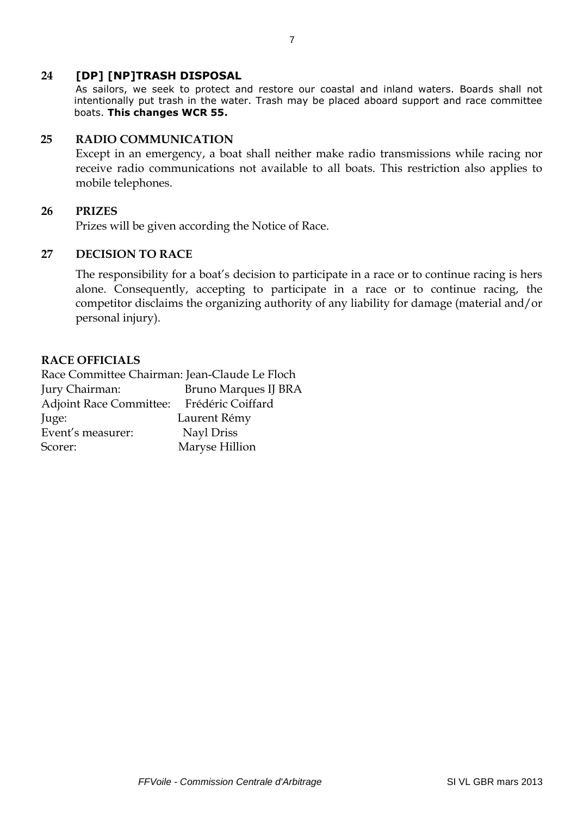### **24 [DP] [NP]TRASH DISPOSAL**

As sailors, we seek to protect and restore our coastal and inland waters. Boards shall not intentionally put trash in the water. Trash may be placed aboard support and race committee boats. **This changes WCR 55.**

### **25 RADIO COMMUNICATION**

Except in an emergency, a boat shall neither make radio transmissions while racing nor receive radio communications not available to all boats. This restriction also applies to mobile telephones.

#### **26 PRIZES**

Prizes will be given according the Notice of Race.

### **27 DECISION TO RACE**

The responsibility for a boat's decision to participate in a race or to continue racing is hers alone. Consequently, accepting to participate in a race or to continue racing, the competitor disclaims the organizing authority of any liability for damage (material and/or personal injury).

#### **RACE OFFICIALS**

Race Committee Chairman: Jean-Claude Le Floch Jury Chairman: Bruno Marques IJ BRA Adjoint Race Committee: Frédéric Coiffard Juge: Laurent Rémy Event's measurer: Nayl Driss Scorer: Maryse Hillion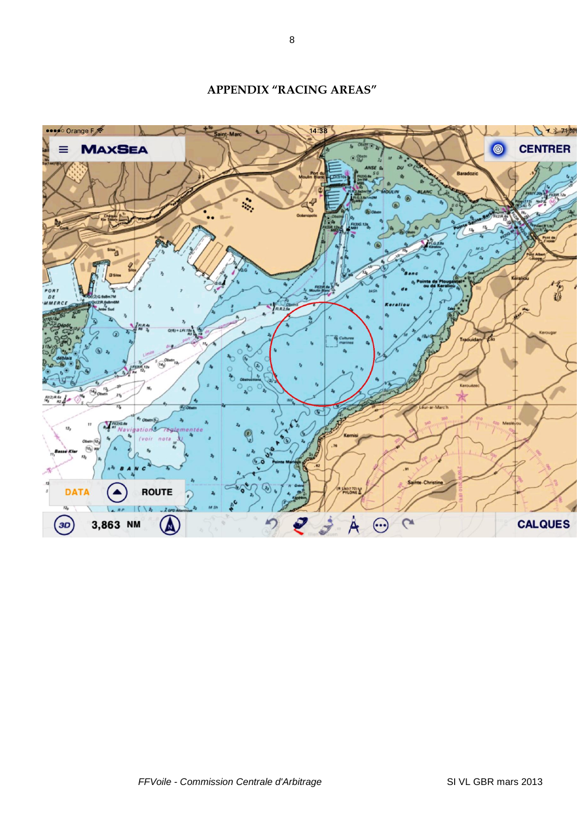o Orange F 14:38 Qx871%  $\mathbf{R}$ **MAXSEA CENTRER**  $\bullet$ ه ۶۰ **ROUTE** JAOC ₹ **CALQUES**  $\left(3D\right)$ 3,863 NM  $\blacksquare$ 

# **APPENDIX "RACING AREAS"**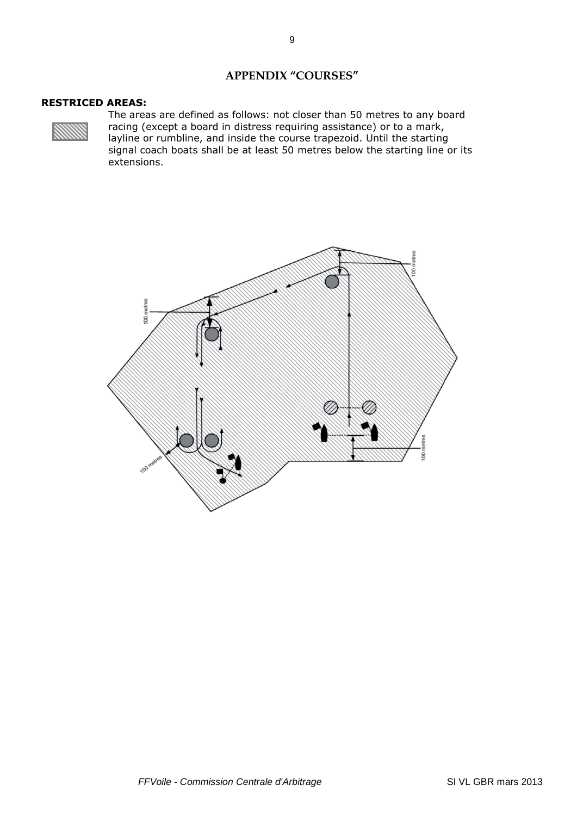#### **APPENDIX "COURSES"**

#### **RESTRICED AREAS:**



The areas are defined as follows: not closer than 50 metres to any board racing (except a board in distress requiring assistance) or to a mark, layline or rumbline, and inside the course trapezoid. Until the starting signal coach boats shall be at least 50 metres below the starting line or its extensions.

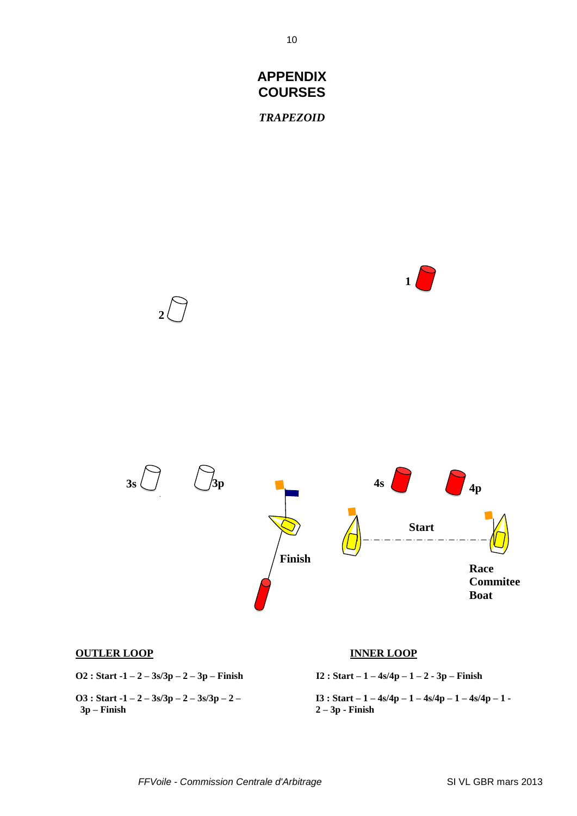

#### **OUTLER LOOP INNER LOOP**

**O2 : Start -1 – 2 – 3s/3p – 2 – 3p – Finish I2 : Start – 1 – 4s/4p – 1 – 2 - 3p – Finish**

 **3p – Finish 2 – 3p - Finish**

**O3 : Start -1 – 2 – 3s/3p – 2 – 3s/3p – 2 – I3 : Start – 1 – 4s/4p – 1 – 4s/4p – 1 – 4s/4p – 1 -**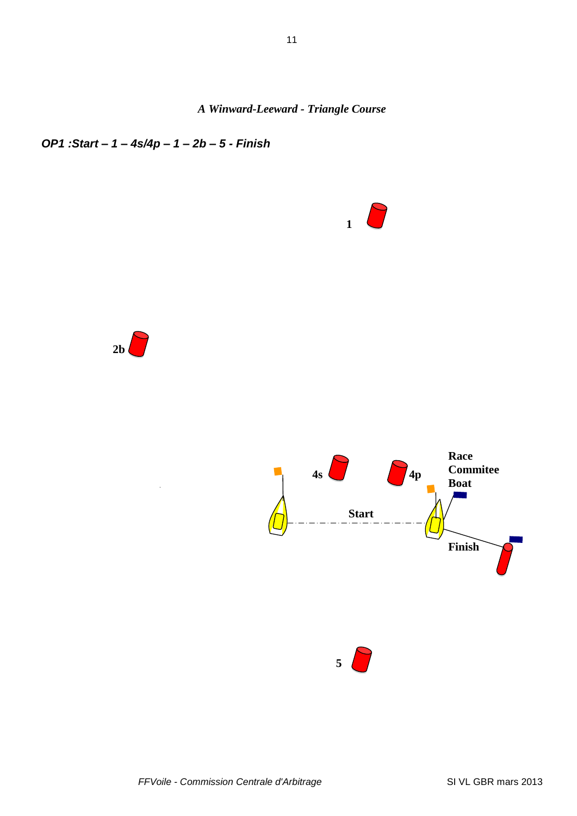*A Winward-Leeward - Triangle Course*

# *OP1 :Start – 1 – 4s/4p – 1 – 2b – 5 - Finish*